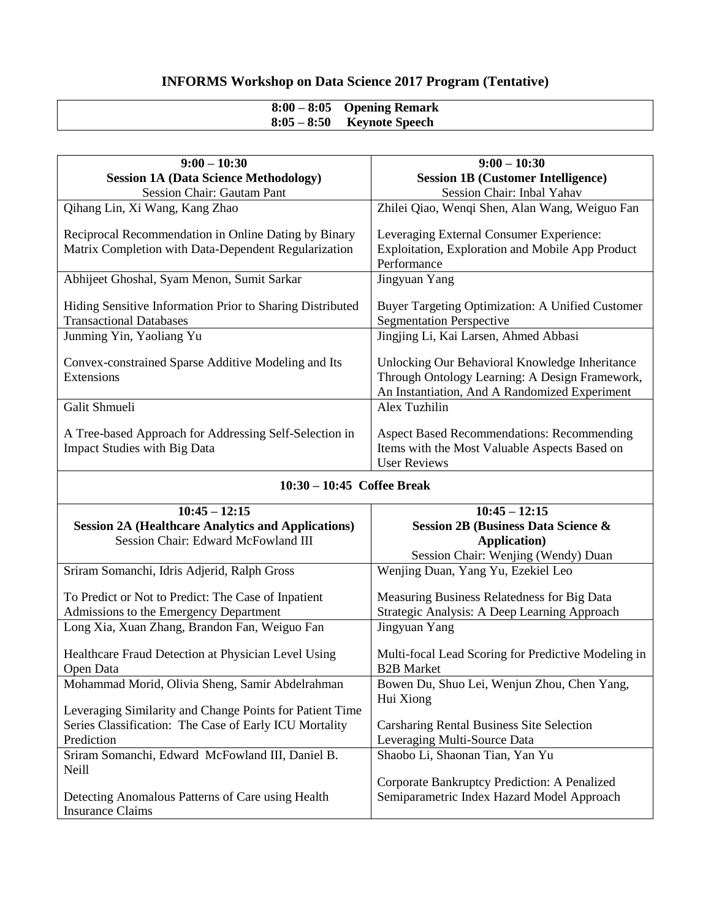## **INFORMS Workshop on Data Science 2017 Program (Tentative)**

| $8:00-8:05$ Opening Remark |
|----------------------------|
| $8:05-8:50$ Keynote Speech |

| $9:00 - 10:30$                                                                                | $9:00 - 10:30$                                                                                                                                    |
|-----------------------------------------------------------------------------------------------|---------------------------------------------------------------------------------------------------------------------------------------------------|
| <b>Session 1A (Data Science Methodology)</b>                                                  | <b>Session 1B (Customer Intelligence)</b>                                                                                                         |
| <b>Session Chair: Gautam Pant</b>                                                             | Session Chair: Inbal Yahav                                                                                                                        |
| Qihang Lin, Xi Wang, Kang Zhao                                                                | Zhilei Qiao, Wenqi Shen, Alan Wang, Weiguo Fan                                                                                                    |
| Reciprocal Recommendation in Online Dating by Binary                                          | Leveraging External Consumer Experience:                                                                                                          |
| Matrix Completion with Data-Dependent Regularization                                          | Exploitation, Exploration and Mobile App Product                                                                                                  |
|                                                                                               | Performance                                                                                                                                       |
| Abhijeet Ghoshal, Syam Menon, Sumit Sarkar                                                    | Jingyuan Yang                                                                                                                                     |
| Hiding Sensitive Information Prior to Sharing Distributed<br><b>Transactional Databases</b>   | <b>Buyer Targeting Optimization: A Unified Customer</b><br><b>Segmentation Perspective</b>                                                        |
| Junming Yin, Yaoliang Yu                                                                      | Jingjing Li, Kai Larsen, Ahmed Abbasi                                                                                                             |
| Convex-constrained Sparse Additive Modeling and Its<br>Extensions                             | Unlocking Our Behavioral Knowledge Inheritance<br>Through Ontology Learning: A Design Framework,<br>An Instantiation, And A Randomized Experiment |
| Galit Shmueli                                                                                 | Alex Tuzhilin                                                                                                                                     |
| A Tree-based Approach for Addressing Self-Selection in<br><b>Impact Studies with Big Data</b> | <b>Aspect Based Recommendations: Recommending</b><br>Items with the Most Valuable Aspects Based on<br><b>User Reviews</b>                         |
|                                                                                               |                                                                                                                                                   |

| $10:30 - 10:45$ Coffee Break                              |                                                     |  |
|-----------------------------------------------------------|-----------------------------------------------------|--|
| $10:45 - 12:15$                                           | $10:45 - 12:15$                                     |  |
| <b>Session 2A (Healthcare Analytics and Applications)</b> | <b>Session 2B (Business Data Science &amp;</b>      |  |
| Session Chair: Edward McFowland III                       | <b>Application</b> )                                |  |
|                                                           | Session Chair: Wenjing (Wendy) Duan                 |  |
| Sriram Somanchi, Idris Adjerid, Ralph Gross               | Wenjing Duan, Yang Yu, Ezekiel Leo                  |  |
|                                                           |                                                     |  |
| To Predict or Not to Predict: The Case of Inpatient       | Measuring Business Relatedness for Big Data         |  |
| Admissions to the Emergency Department                    | Strategic Analysis: A Deep Learning Approach        |  |
| Long Xia, Xuan Zhang, Brandon Fan, Weiguo Fan             | Jingyuan Yang                                       |  |
|                                                           |                                                     |  |
| Healthcare Fraud Detection at Physician Level Using       | Multi-focal Lead Scoring for Predictive Modeling in |  |
| Open Data                                                 | <b>B2B</b> Market                                   |  |
| Mohammad Morid, Olivia Sheng, Samir Abdelrahman           | Bowen Du, Shuo Lei, Wenjun Zhou, Chen Yang,         |  |
|                                                           | Hui Xiong                                           |  |
| Leveraging Similarity and Change Points for Patient Time  |                                                     |  |
| Series Classification: The Case of Early ICU Mortality    | <b>Carsharing Rental Business Site Selection</b>    |  |
| Prediction                                                | Leveraging Multi-Source Data                        |  |
| Sriram Somanchi, Edward McFowland III, Daniel B.          | Shaobo Li, Shaonan Tian, Yan Yu                     |  |
| Neill                                                     |                                                     |  |
|                                                           | Corporate Bankruptcy Prediction: A Penalized        |  |
| Detecting Anomalous Patterns of Care using Health         | Semiparametric Index Hazard Model Approach          |  |
| <b>Insurance Claims</b>                                   |                                                     |  |